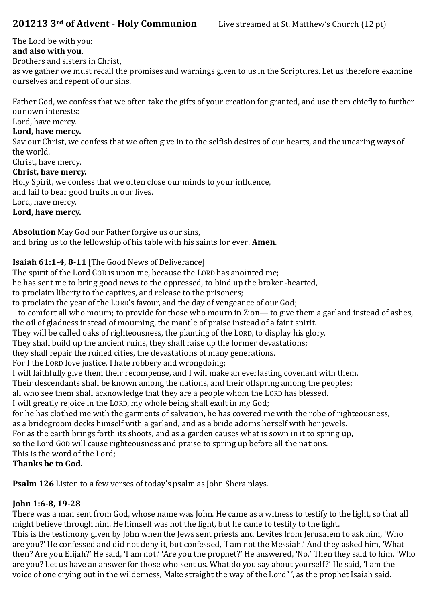The Lord be with you:

# **and also with you**.

Brothers and sisters in Christ,

as we gather we must recall the promises and warnings given to us in the Scriptures. Let us therefore examine ourselves and repent of our sins.

Father God, we confess that we often take the gifts of your creation for granted, and use them chiefly to further our own interests:

Lord, have mercy.

# **Lord, have mercy.**

Saviour Christ, we confess that we often give in to the selfish desires of our hearts, and the uncaring ways of the world.

Christ, have mercy.

# **Christ, have mercy.**

Holy Spirit, we confess that we often close our minds to your influence, and fail to bear good fruits in our lives. Lord, have mercy. **Lord, have mercy.** 

**Absolution** May God our Father forgive us our sins, and bring us to the fellowship of his table with his saints for ever. **Amen**.

# **Isaiah 61:1-4, 8-11** [The Good News of Deliverance]

The spirit of the Lord GOD is upon me, because the LORD has anointed me;

he has sent me to bring good news to the oppressed, to bind up the broken-hearted,

to proclaim liberty to the captives, and release to the prisoners;

to proclaim the year of the LORD's favour, and the day of vengeance of our God;

 to comfort all who mourn; to provide for those who mourn in Zion— to give them a garland instead of ashes, the oil of gladness instead of mourning, the mantle of praise instead of a faint spirit.

They will be called oaks of righteousness, the planting of the LORD, to display his glory.

They shall build up the ancient ruins, they shall raise up the former devastations;

they shall repair the ruined cities, the devastations of many generations.

For I the LORD love justice, I hate robbery and wrongdoing;

I will faithfully give them their recompense, and I will make an everlasting covenant with them.

Their descendants shall be known among the nations, and their offspring among the peoples;

all who see them shall acknowledge that they are a people whom the LORD has blessed.

I will greatly rejoice in the LORD, my whole being shall exult in my God;

for he has clothed me with the garments of salvation, he has covered me with the robe of righteousness, as a bridegroom decks himself with a garland, and as a bride adorns herself with her jewels.

For as the earth brings forth its shoots, and as a garden causes what is sown in it to spring up,

so the Lord GOD will cause righteousness and praise to spring up before all the nations.

This is the word of the Lord;

# **Thanks be to God.**

**Psalm 126** Listen to a few verses of today's psalm as John Shera plays.

# **John 1:6-8, 19-28**

There was a man sent from God, whose name was John. He came as a witness to testify to the light, so that all might believe through him. He himself was not the light, but he came to testify to the light. This is the testimony given by John when the Jews sent priests and Levites from Jerusalem to ask him, 'Who are you?' He confessed and did not deny it, but confessed, 'I am not the Messiah.' And they asked him, 'What then? Are you Elijah?' He said, 'I am not.' 'Are you the prophet?' He answered, 'No.' Then they said to him, 'Who are you? Let us have an answer for those who sent us. What do you say about yourself?' He said, 'I am the voice of one crying out in the wilderness, Make straight the way of the Lord" ', as the prophet Isaiah said.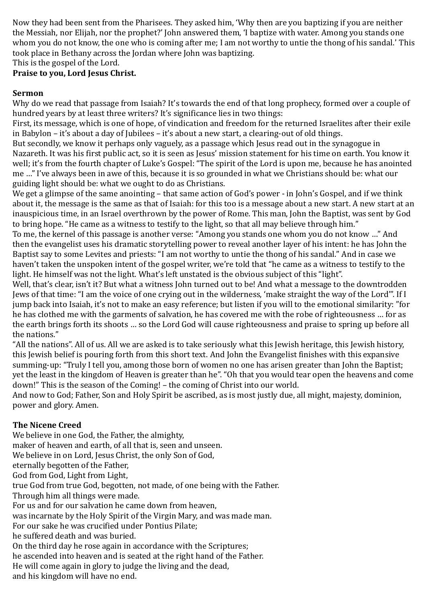Now they had been sent from the Pharisees. They asked him, 'Why then are you baptizing if you are neither the Messiah, nor Elijah, nor the prophet?' John answered them, 'I baptize with water. Among you stands one whom you do not know, the one who is coming after me; I am not worthy to untie the thong of his sandal.' This took place in Bethany across the Jordan where John was baptizing.

This is the gospel of the Lord.

## **Praise to you, Lord Jesus Christ.**

#### **Sermon**

Why do we read that passage from Isaiah? It's towards the end of that long prophecy, formed over a couple of hundred years by at least three writers? It's significance lies in two things:

First, its message, which is one of hope, of vindication and freedom for the returned Israelites after their exile in Babylon – it's about a day of Jubilees – it's about a new start, a clearing-out of old things.

But secondly, we know it perhaps only vaguely, as a passage which Jesus read out in the synagogue in Nazareth. It was his first public act, so it is seen as Jesus' mission statement for his time on earth. You know it well; it's from the fourth chapter of Luke's Gospel: "The spirit of the Lord is upon me, because he has anointed me …" I've always been in awe of this, because it is so grounded in what we Christians should be: what our guiding light should be: what we ought to do as Christians.

We get a glimpse of the same anointing – that same action of God's power - in John's Gospel, and if we think about it, the message is the same as that of Isaiah: for this too is a message about a new start. A new start at an inauspicious time, in an Israel overthrown by the power of Rome. This man, John the Baptist, was sent by God to bring hope. "He came as a witness to testify to the light, so that all may believe through him."

To me, the kernel of this passage is another verse: "Among you stands one whom you do not know …" And then the evangelist uses his dramatic storytelling power to reveal another layer of his intent: he has John the Baptist say to some Levites and priests: "I am not worthy to untie the thong of his sandal." And in case we haven't taken the unspoken intent of the gospel writer, we're told that "he came as a witness to testify to the light. He himself was not the light. What's left unstated is the obvious subject of this "light".

Well, that's clear, isn't it? But what a witness John turned out to be! And what a message to the downtrodden Jews of that time: "I am the voice of one crying out in the wilderness, 'make straight the way of the Lord'". If I jump back into Isaiah, it's not to make an easy reference; but listen if you will to the emotional similarity: "for he has clothed me with the garments of salvation, he has covered me with the robe of righteousness … for as the earth brings forth its shoots … so the Lord God will cause righteousness and praise to spring up before all the nations."

"All the nations". All of us. All we are asked is to take seriously what this Jewish heritage, this Jewish history, this Jewish belief is pouring forth from this short text. And John the Evangelist finishes with this expansive summing-up: "Truly I tell you, among those born of women no one has arisen greater than John the Baptist; yet the least in the kingdom of Heaven is greater than he". "Oh that you would tear open the heavens and come down!" This is the season of the Coming! – the coming of Christ into our world.

And now to God; Father, Son and Holy Spirit be ascribed, as is most justly due, all might, majesty, dominion, power and glory. Amen.

## **The Nicene Creed**

We believe in one God, the Father, the almighty, maker of heaven and earth, of all that is, seen and unseen. We believe in on Lord, Jesus Christ, the only Son of God, eternally begotten of the Father, God from God, Light from Light, true God from true God, begotten, not made, of one being with the Father. Through him all things were made. For us and for our salvation he came down from heaven, was incarnate by the Holy Spirit of the Virgin Mary, and was made man. For our sake he was crucified under Pontius Pilate; he suffered death and was buried. On the third day he rose again in accordance with the Scriptures; he ascended into heaven and is seated at the right hand of the Father. He will come again in glory to judge the living and the dead, and his kingdom will have no end.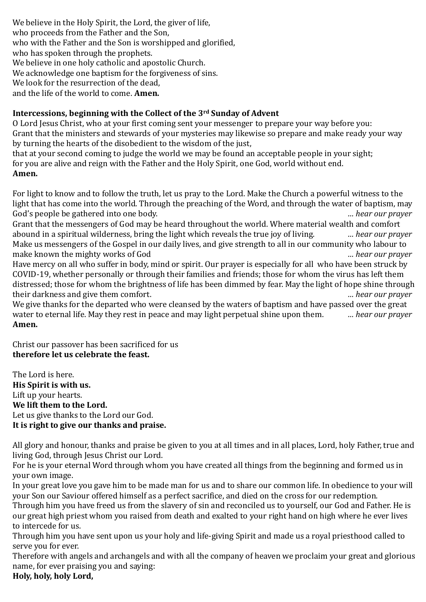We believe in the Holy Spirit, the Lord, the giver of life, who proceeds from the Father and the Son, who with the Father and the Son is worshipped and glorified, who has spoken through the prophets. We believe in one holy catholic and apostolic Church. We acknowledge one baptism for the forgiveness of sins. We look for the resurrection of the dead. and the life of the world to come. **Amen.**

## **Intercessions, beginning with the Collect of the 3rd Sunday of Advent**

O Lord Jesus Christ, who at your first coming sent your messenger to prepare your way before you: Grant that the ministers and stewards of your mysteries may likewise so prepare and make ready your way by turning the hearts of the disobedient to the wisdom of the just,

that at your second coming to judge the world we may be found an acceptable people in your sight; for you are alive and reign with the Father and the Holy Spirit, one God, world without end. **Amen.**

For light to know and to follow the truth, let us pray to the Lord. Make the Church a powerful witness to the light that has come into the world. Through the preaching of the Word, and through the water of baptism, may God's people be gathered into one body. *… hear our prayer*

Grant that the messengers of God may be heard throughout the world. Where material wealth and comfort abound in a spiritual wilderness, bring the light which reveals the true joy of living. *… hear our prayer* Make us messengers of the Gospel in our daily lives, and give strength to all in our community who labour to make known the mighty works of God *… hear our prayer*

Have mercy on all who suffer in body, mind or spirit. Our prayer is especially for all who have been struck by COVID-19, whether personally or through their families and friends; those for whom the virus has left them distressed; those for whom the brightness of life has been dimmed by fear. May the light of hope shine through their darkness and give them comfort. *… hear our prayer*

We give thanks for the departed who were cleansed by the waters of baptism and have passed over the great water to eternal life. May they rest in peace and may light perpetual shine upon them. *… hear our prayer* **Amen.**

Christ our passover has been sacrificed for us **therefore let us celebrate the feast.** 

The Lord is here. **His Spirit is with us.**  Lift up your hearts. **We lift them to the Lord.**  Let us give thanks to the Lord our God. **It is right to give our thanks and praise.**

All glory and honour, thanks and praise be given to you at all times and in all places, Lord, holy Father, true and living God, through Jesus Christ our Lord.

For he is your eternal Word through whom you have created all things from the beginning and formed us in your own image.

In your great love you gave him to be made man for us and to share our common life. In obedience to your will your Son our Saviour offered himself as a perfect sacrifice, and died on the cross for our redemption.

Through him you have freed us from the slavery of sin and reconciled us to yourself, our God and Father. He is our great high priest whom you raised from death and exalted to your right hand on high where he ever lives to intercede for us.

Through him you have sent upon us your holy and life-giving Spirit and made us a royal priesthood called to serve you for ever.

Therefore with angels and archangels and with all the company of heaven we proclaim your great and glorious name, for ever praising you and saying:

**Holy, holy, holy Lord,**